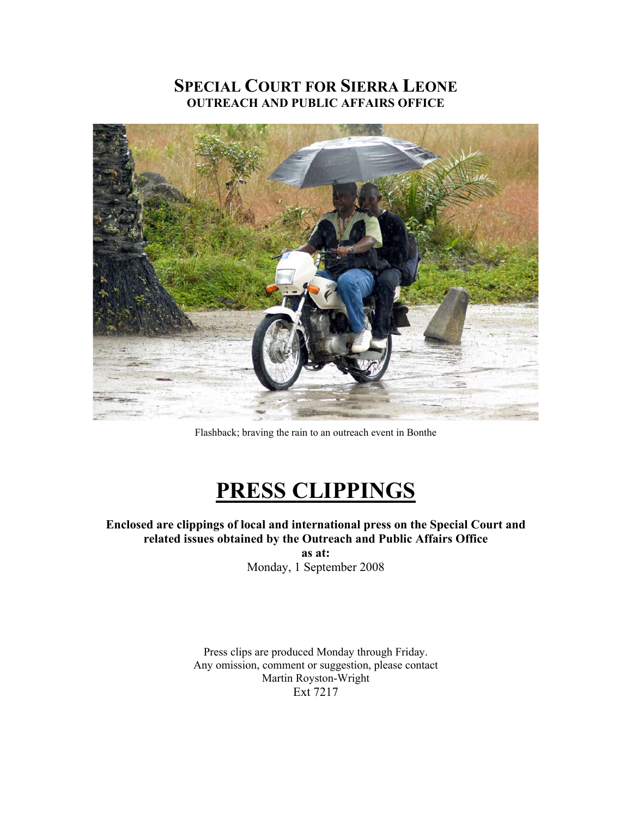## **SPECIAL COURT FOR SIERRA LEONE OUTREACH AND PUBLIC AFFAIRS OFFICE**



Flashback; braving the rain to an outreach event in Bonthe

# **PRESS CLIPPINGS**

**Enclosed are clippings of local and international press on the Special Court and related issues obtained by the Outreach and Public Affairs Office as at:** 

Monday, 1 September 2008

Press clips are produced Monday through Friday. Any omission, comment or suggestion, please contact Martin Royston-Wright Ext 7217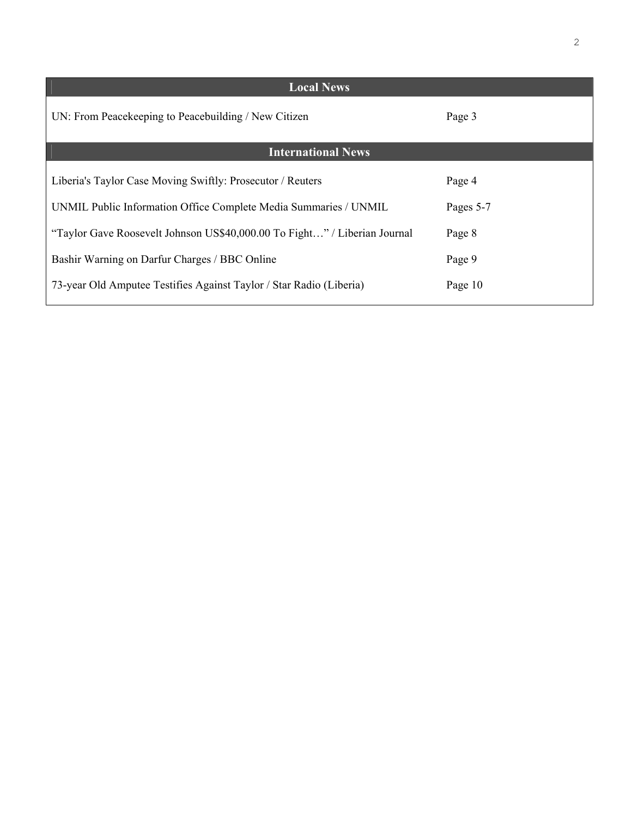| <b>Local News</b>                                                         |           |
|---------------------------------------------------------------------------|-----------|
| UN: From Peacekeeping to Peacebuilding / New Citizen                      | Page 3    |
| <b>International News</b>                                                 |           |
| Liberia's Taylor Case Moving Swiftly: Prosecutor / Reuters                | Page 4    |
| UNMIL Public Information Office Complete Media Summaries / UNMIL          | Pages 5-7 |
| "Taylor Gave Roosevelt Johnson US\$40,000.00 To Fight" / Liberian Journal | Page 8    |
| Bashir Warning on Darfur Charges / BBC Online                             | Page 9    |
| 73-year Old Amputee Testifies Against Taylor / Star Radio (Liberia)       | Page 10   |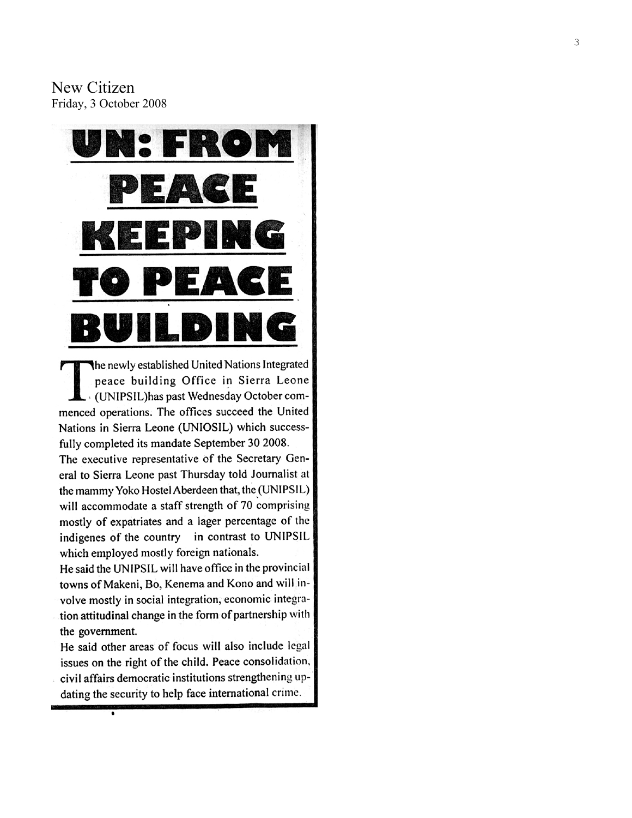New Citizen Friday, 3 October 2008



The newly established United Nations Integrated peace building Office in Sierra Leone - (UNIPSIL) has past Wednesday October commenced operations. The offices succeed the United Nations in Sierra Leone (UNIOSIL) which successfully completed its mandate September 30 2008.

The executive representative of the Secretary General to Sierra Leone past Thursday told Journalist at the mammy Yoko Hostel Aberdeen that, the (UNIPSIL) will accommodate a staff strength of 70 comprising mostly of expatriates and a lager percentage of the indigenes of the country in contrast to UNIPSIL which employed mostly foreign nationals.

He said the UNIPSIL will have office in the provincial towns of Makeni, Bo, Kenema and Kono and will involve mostly in social integration, economic integration attitudinal change in the form of partnership with the government.

He said other areas of focus will also include legal issues on the right of the child. Peace consolidation, civil affairs democratic institutions strengthening updating the security to help face international crime.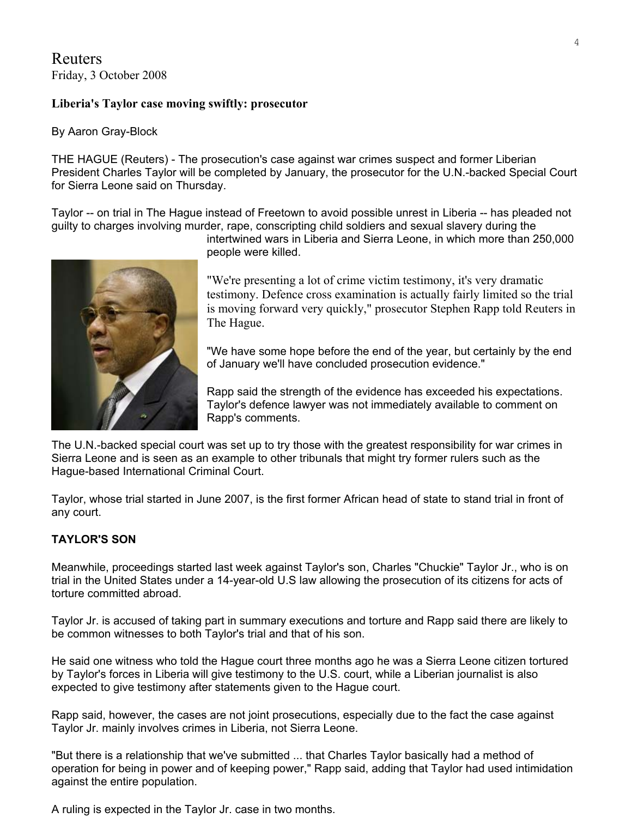Reuters Friday, 3 October 2008

#### **Liberia's Taylor case moving swiftly: prosecutor**

#### By Aaron Gray-Block

THE HAGUE (Reuters) - The prosecution's case against war crimes suspect and former Liberian President Charles Taylor will be completed by January, the prosecutor for the U.N.-backed Special Court for Sierra Leone said on Thursday.

Taylor -- on trial in The Hague instead of Freetown to avoid possible unrest in Liberia -- has pleaded not guilty to charges involving murder, rape, conscripting child soldiers and sexual slavery during the

intertwined wars in Liberia and Sierra Leone, in which more than 250,000 people were killed.

"We're presenting a lot of crime victim testimony, it's very dramatic testimony. Defence cross examination is actually fairly limited so the trial is moving forward very quickly," prosecutor Stephen Rapp told Reuters in The Hague.

"We have some hope before the end of the year, but certainly by the end of January we'll have concluded prosecution evidence."

Rapp said the strength of the evidence has exceeded his expectations. Taylor's defence lawyer was not immediately available to comment on Rapp's comments.

The U.N.-backed special court was set up to try those with the greatest responsibility for war crimes in Sierra Leone and is seen as an example to other tribunals that might try former rulers such as the Hague-based International Criminal Court.

Taylor, whose trial started in June 2007, is the first former African head of state to stand trial in front of any court.

#### **TAYLOR'S SON**

Meanwhile, proceedings started last week against Taylor's son, Charles "Chuckie" Taylor Jr., who is on trial in the United States under a 14-year-old U.S law allowing the prosecution of its citizens for acts of torture committed abroad.

Taylor Jr. is accused of taking part in summary executions and torture and Rapp said there are likely to be common witnesses to both Taylor's trial and that of his son.

He said one witness who told the Hague court three months ago he was a Sierra Leone citizen tortured by Taylor's forces in Liberia will give testimony to the U.S. court, while a Liberian journalist is also expected to give testimony after statements given to the Hague court.

Rapp said, however, the cases are not joint prosecutions, especially due to the fact the case against Taylor Jr. mainly involves crimes in Liberia, not Sierra Leone.

"But there is a relationship that we've submitted ... that Charles Taylor basically had a method of operation for being in power and of keeping power," Rapp said, adding that Taylor had used intimidation against the entire population.

A ruling is expected in the Taylor Jr. case in two months.

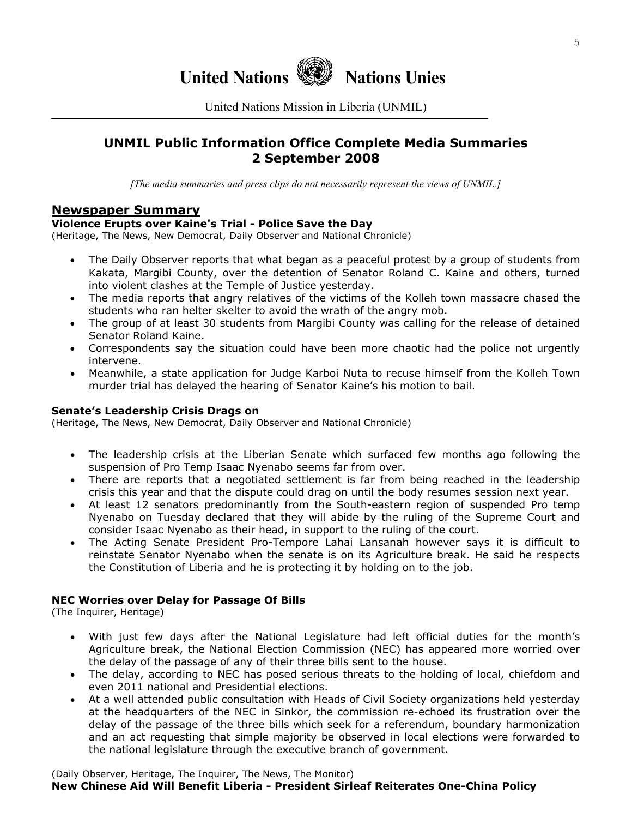

United Nations Mission in Liberia (UNMIL)

## **UNMIL Public Information Office Complete Media Summaries 2 September 2008**

*[The media summaries and press clips do not necessarily represent the views of UNMIL.]*

## **Newspaper Summary**

#### **Violence Erupts over Kaine's Trial - Police Save the Day**

(Heritage, The News, New Democrat, Daily Observer and National Chronicle)

- The Daily Observer reports that what began as a peaceful protest by a group of students from Kakata, Margibi County, over the detention of Senator Roland C. Kaine and others, turned into violent clashes at the Temple of Justice yesterday.
- The media reports that angry relatives of the victims of the Kolleh town massacre chased the students who ran helter skelter to avoid the wrath of the angry mob.
- The group of at least 30 students from Margibi County was calling for the release of detained Senator Roland Kaine.
- Correspondents say the situation could have been more chaotic had the police not urgently intervene.
- Meanwhile, a state application for Judge Karboi Nuta to recuse himself from the Kolleh Town murder trial has delayed the hearing of Senator Kaine's his motion to bail.

#### **Senate's Leadership Crisis Drags on**

(Heritage, The News, New Democrat, Daily Observer and National Chronicle)

- The leadership crisis at the Liberian Senate which surfaced few months ago following the suspension of Pro Temp Isaac Nyenabo seems far from over.
- There are reports that a negotiated settlement is far from being reached in the leadership crisis this year and that the dispute could drag on until the body resumes session next year.
- At least 12 senators predominantly from the South-eastern region of suspended Pro temp Nyenabo on Tuesday declared that they will abide by the ruling of the Supreme Court and consider Isaac Nyenabo as their head, in support to the ruling of the court.
- The Acting Senate President Pro-Tempore Lahai Lansanah however says it is difficult to reinstate Senator Nyenabo when the senate is on its Agriculture break. He said he respects the Constitution of Liberia and he is protecting it by holding on to the job.

#### **NEC Worries over Delay for Passage Of Bills**

(The Inquirer, Heritage)

- With just few days after the National Legislature had left official duties for the month's Agriculture break, the National Election Commission (NEC) has appeared more worried over the delay of the passage of any of their three bills sent to the house.
- The delay, according to NEC has posed serious threats to the holding of local, chiefdom and even 2011 national and Presidential elections.
- At a well attended public consultation with Heads of Civil Society organizations held yesterday at the headquarters of the NEC in Sinkor, the commission re-echoed its frustration over the delay of the passage of the three bills which seek for a referendum, boundary harmonization and an act requesting that simple majority be observed in local elections were forwarded to the national legislature through the executive branch of government.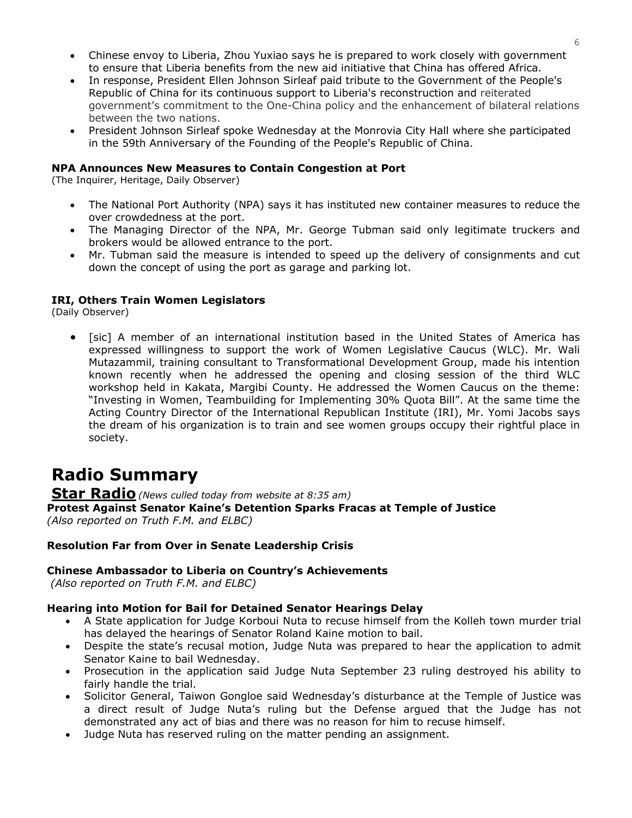- Chinese envoy to Liberia, Zhou Yuxiao says he is prepared to work closely with government to ensure that Liberia benefits from the new aid initiative that China has offered Africa.
- In response, President Ellen Johnson Sirleaf paid tribute to the Government of the People's Republic of China for its continuous support to Liberia's reconstruction and reiterated government's commitment to the One-China policy and the enhancement of bilateral relations between the two nations.
- President Johnson Sirleaf spoke Wednesday at the Monrovia City Hall where she participated in the 59th Anniversary of the Founding of the People's Republic of China.

#### **NPA Announces New Measures to Contain Congestion at Port**

(The Inquirer, Heritage, Daily Observer)

- The National Port Authority (NPA) says it has instituted new container measures to reduce the over crowdedness at the port.
- The Managing Director of the NPA, Mr. George Tubman said only legitimate truckers and brokers would be allowed entrance to the port.
- Mr. Tubman said the measure is intended to speed up the delivery of consignments and cut down the concept of using the port as garage and parking lot.

#### **IRI, Others Train Women Legislators**

(Daily Observer)

• [sic] A member of an international institution based in the United States of America has expressed willingness to support the work of Women Legislative Caucus (WLC). Mr. Wali Mutazammil, training consultant to Transformational Development Group, made his intention known recently when he addressed the opening and closing session of the third WLC workshop held in Kakata, Margibi County. He addressed the Women Caucus on the theme: "Investing in Women, Teambuilding for Implementing 30% Quota Bill". At the same time the Acting Country Director of the International Republican Institute (IRI), Mr. Yomi Jacobs says the dream of his organization is to train and see women groups occupy their rightful place in society.

## **Radio Summary**

**Star Radio***(News culled today from website at 8:35 am)*  **Protest Against Senator Kaine's Detention Sparks Fracas at Temple of Justice**  *(Also reported on Truth F.M. and ELBC)*

#### **Resolution Far from Over in Senate Leadership Crisis**

#### **Chinese Ambassador to Liberia on Country's Achievements**

 *(Also reported on Truth F.M. and ELBC)* 

## **Hearing into Motion for Bail for Detained Senator Hearings Delay**

- A State application for Judge Korboui Nuta to recuse himself from the Kolleh town murder trial has delayed the hearings of Senator Roland Kaine motion to bail.
- Despite the state's recusal motion, Judge Nuta was prepared to hear the application to admit Senator Kaine to bail Wednesday.
- Prosecution in the application said Judge Nuta September 23 ruling destroyed his ability to fairly handle the trial.
- Solicitor General, Taiwon Gongloe said Wednesday's disturbance at the Temple of Justice was a direct result of Judge Nuta's ruling but the Defense argued that the Judge has not demonstrated any act of bias and there was no reason for him to recuse himself.
- Judge Nuta has reserved ruling on the matter pending an assignment.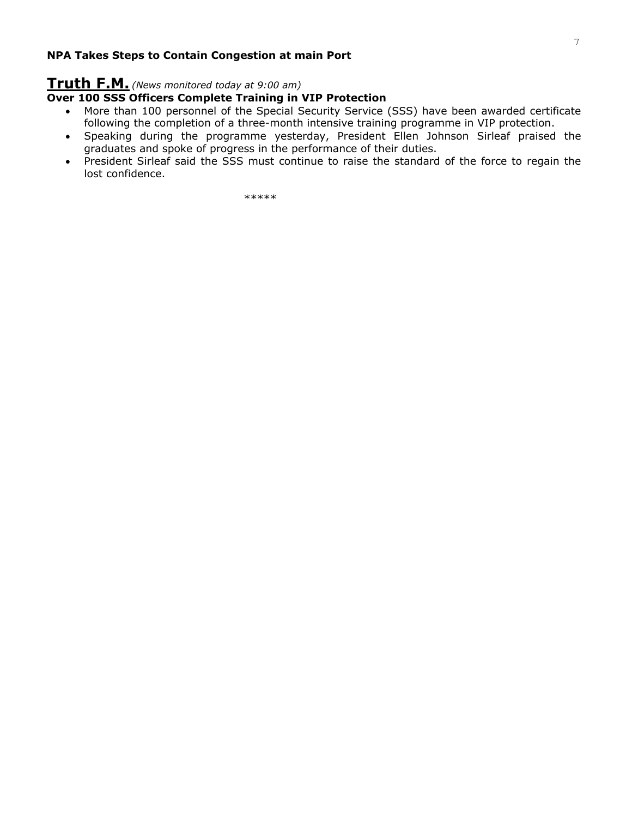#### **NPA Takes Steps to Contain Congestion at main Port**

## **Truth F.M.** *(News monitored today at 9:00 am)*

## **Over 100 SSS Officers Complete Training in VIP Protection**

- More than 100 personnel of the Special Security Service (SSS) have been awarded certificate following the completion of a three-month intensive training programme in VIP protection.
- Speaking during the programme yesterday, President Ellen Johnson Sirleaf praised the graduates and spoke of progress in the performance of their duties.
- President Sirleaf said the SSS must continue to raise the standard of the force to regain the lost confidence.

\*\*\*\*\*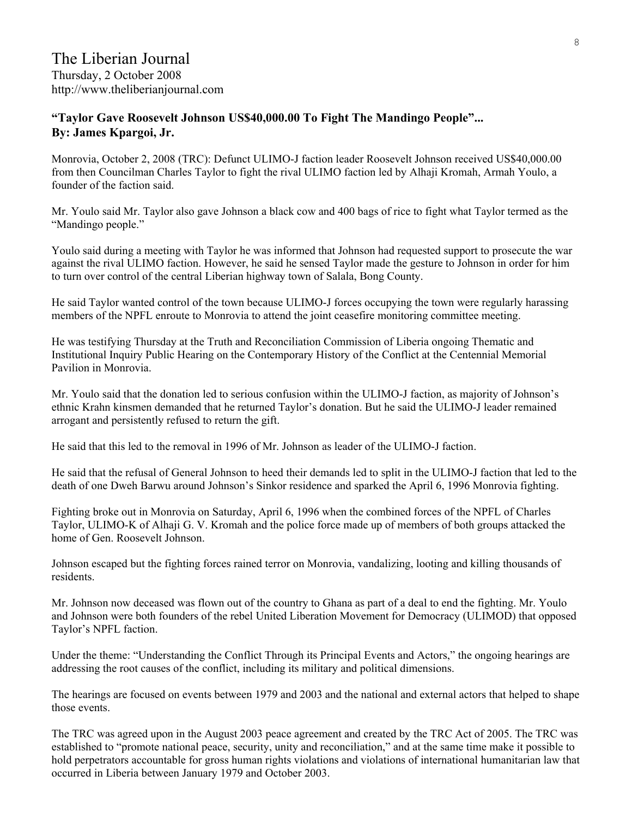## **"Taylor Gave Roosevelt Johnson US\$40,000.00 To Fight The Mandingo People"... By: James Kpargoi, Jr.**

Monrovia, October 2, 2008 (TRC): Defunct ULIMO-J faction leader Roosevelt Johnson received US\$40,000.00 from then Councilman Charles Taylor to fight the rival ULIMO faction led by Alhaji Kromah, Armah Youlo, a founder of the faction said.

Mr. Youlo said Mr. Taylor also gave Johnson a black cow and 400 bags of rice to fight what Taylor termed as the "Mandingo people."

Youlo said during a meeting with Taylor he was informed that Johnson had requested support to prosecute the war against the rival ULIMO faction. However, he said he sensed Taylor made the gesture to Johnson in order for him to turn over control of the central Liberian highway town of Salala, Bong County.

He said Taylor wanted control of the town because ULIMO-J forces occupying the town were regularly harassing members of the NPFL enroute to Monrovia to attend the joint ceasefire monitoring committee meeting.

He was testifying Thursday at the Truth and Reconciliation Commission of Liberia ongoing Thematic and Institutional Inquiry Public Hearing on the Contemporary History of the Conflict at the Centennial Memorial Pavilion in Monrovia.

Mr. Youlo said that the donation led to serious confusion within the ULIMO-J faction, as majority of Johnson's ethnic Krahn kinsmen demanded that he returned Taylor's donation. But he said the ULIMO-J leader remained arrogant and persistently refused to return the gift.

He said that this led to the removal in 1996 of Mr. Johnson as leader of the ULIMO-J faction.

He said that the refusal of General Johnson to heed their demands led to split in the ULIMO-J faction that led to the death of one Dweh Barwu around Johnson's Sinkor residence and sparked the April 6, 1996 Monrovia fighting.

Fighting broke out in Monrovia on Saturday, April 6, 1996 when the combined forces of the NPFL of Charles Taylor, ULIMO-K of Alhaji G. V. Kromah and the police force made up of members of both groups attacked the home of Gen. Roosevelt Johnson.

Johnson escaped but the fighting forces rained terror on Monrovia, vandalizing, looting and killing thousands of residents.

Mr. Johnson now deceased was flown out of the country to Ghana as part of a deal to end the fighting. Mr. Youlo and Johnson were both founders of the rebel United Liberation Movement for Democracy (ULIMOD) that opposed Taylor's NPFL faction.

Under the theme: "Understanding the Conflict Through its Principal Events and Actors," the ongoing hearings are addressing the root causes of the conflict, including its military and political dimensions.

The hearings are focused on events between 1979 and 2003 and the national and external actors that helped to shape those events.

The TRC was agreed upon in the August 2003 peace agreement and created by the TRC Act of 2005. The TRC was established to "promote national peace, security, unity and reconciliation," and at the same time make it possible to hold perpetrators accountable for gross human rights violations and violations of international humanitarian law that occurred in Liberia between January 1979 and October 2003.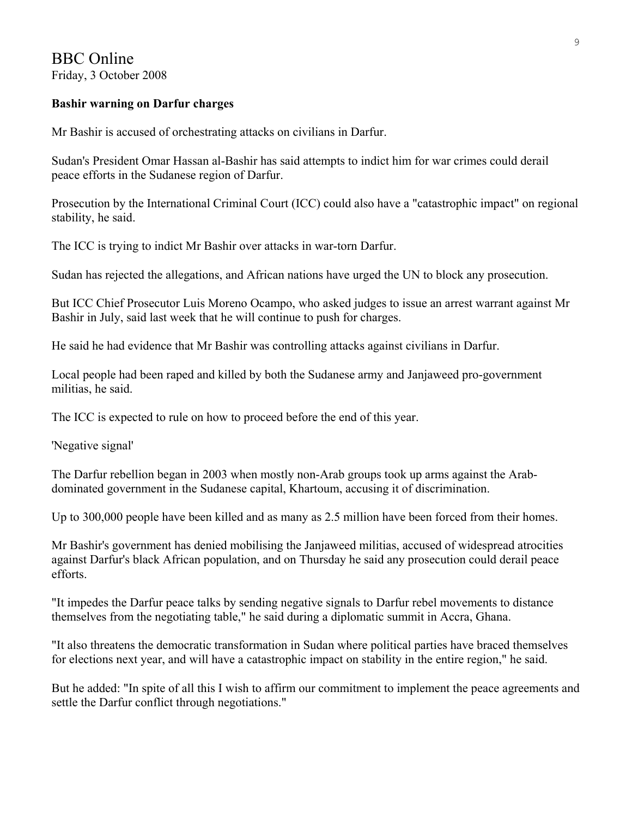## BBC Online Friday, 3 October 2008

## **Bashir warning on Darfur charges**

Mr Bashir is accused of orchestrating attacks on civilians in Darfur.

Sudan's President Omar Hassan al-Bashir has said attempts to indict him for war crimes could derail peace efforts in the Sudanese region of Darfur.

Prosecution by the International Criminal Court (ICC) could also have a "catastrophic impact" on regional stability, he said.

The ICC is trying to indict Mr Bashir over attacks in war-torn Darfur.

Sudan has rejected the allegations, and African nations have urged the UN to block any prosecution.

But ICC Chief Prosecutor Luis Moreno Ocampo, who asked judges to issue an arrest warrant against Mr Bashir in July, said last week that he will continue to push for charges.

He said he had evidence that Mr Bashir was controlling attacks against civilians in Darfur.

Local people had been raped and killed by both the Sudanese army and Janjaweed pro-government militias, he said.

The ICC is expected to rule on how to proceed before the end of this year.

'Negative signal'

The Darfur rebellion began in 2003 when mostly non-Arab groups took up arms against the Arabdominated government in the Sudanese capital, Khartoum, accusing it of discrimination.

Up to 300,000 people have been killed and as many as 2.5 million have been forced from their homes.

Mr Bashir's government has denied mobilising the Janjaweed militias, accused of widespread atrocities against Darfur's black African population, and on Thursday he said any prosecution could derail peace efforts.

"It impedes the Darfur peace talks by sending negative signals to Darfur rebel movements to distance themselves from the negotiating table," he said during a diplomatic summit in Accra, Ghana.

"It also threatens the democratic transformation in Sudan where political parties have braced themselves for elections next year, and will have a catastrophic impact on stability in the entire region," he said.

But he added: "In spite of all this I wish to affirm our commitment to implement the peace agreements and settle the Darfur conflict through negotiations."